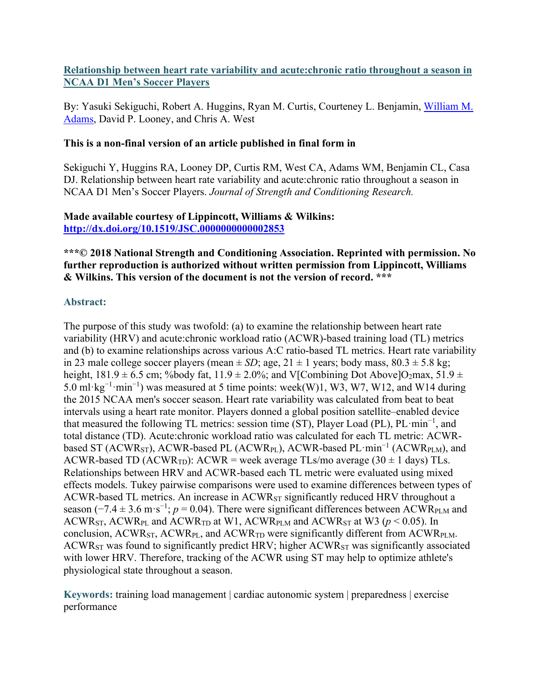# **Relationship between heart rate variability and acute:chronic ratio throughout a season in NCAA D1 Men's Soccer Players**

By: Yasuki Sekiguchi, Robert A. Huggins, Ryan M. Curtis, Courteney L. Benjamin, [William M.](https://libres.uncg.edu/ir/uncg/clist.aspx?id=20872)  [Adams,](https://libres.uncg.edu/ir/uncg/clist.aspx?id=20872) David P. Looney, and Chris A. West

## **This is a non-final version of an article published in final form in**

Sekiguchi Y, Huggins RA, Looney DP, Curtis RM, West CA, Adams WM, Benjamin CL, Casa DJ. Relationship between heart rate variability and acute:chronic ratio throughout a season in NCAA D1 Men's Soccer Players. *Journal of Strength and Conditioning Research.*

#### **Made available courtesy of Lippincott, Williams & Wilkins: <http://dx.doi.org/10.1519/JSC.0000000000002853>**

# **\*\*\*© 2018 National Strength and Conditioning Association. Reprinted with permission. No further reproduction is authorized without written permission from Lippincott, Williams & Wilkins. This version of the document is not the version of record. \*\*\***

# **Abstract:**

The purpose of this study was twofold: (a) to examine the relationship between heart rate variability (HRV) and acute:chronic workload ratio (ACWR)-based training load (TL) metrics and (b) to examine relationships across various A:C ratio-based TL metrics. Heart rate variability in 23 male college soccer players (mean  $\pm SD$ ; age,  $21 \pm 1$  years; body mass,  $80.3 \pm 5.8$  kg; height,  $181.9 \pm 6.5$  cm; %body fat,  $11.9 \pm 2.0$ %; and V[Combining Dot Above]O<sub>2</sub>max,  $51.9 \pm 2.0$ 5.0 ml⋅kg<sup>-1</sup>⋅min<sup>-1</sup>) was measured at 5 time points: week(W)1, W3, W7, W12, and W14 during the 2015 NCAA men's soccer season. Heart rate variability was calculated from beat to beat intervals using a heart rate monitor. Players donned a global position satellite–enabled device that measured the following TL metrics: session time (ST), Player Load (PL), PL·min<sup>−</sup><sup>1</sup> , and total distance (TD). Acute:chronic workload ratio was calculated for each TL metric: ACWRbased ST (ACWRST), ACWR-based PL (ACWRPL), ACWR-based PL·min<sup>−</sup><sup>1</sup> (ACWRPLM), and ACWR-based TD (ACWR<sub>TD</sub>): ACWR = week average TLs/mo average (30  $\pm$  1 days) TLs. Relationships between HRV and ACWR-based each TL metric were evaluated using mixed effects models. Tukey pairwise comparisons were used to examine differences between types of ACWR-based TL metrics. An increase in ACWRST significantly reduced HRV throughout a season ( $-7.4 \pm 3.6$  m·s<sup>-1</sup>;  $p = 0.04$ ). There were significant differences between ACWR<sub>PLM</sub> and ACWR<sub>ST</sub>, ACWR<sub>PL</sub> and ACWR<sub>TD</sub> at W1, ACWR<sub>PLM</sub> and ACWR<sub>ST</sub> at W3 ( $p$  < 0.05). In conclusion,  $ACWR_{ST}$ ,  $ACWR_{PL}$ , and  $ACWR_{TD}$  were significantly different from  $ACWR_{PLM}$ .  $ACWR_{ST}$  was found to significantly predict HRV; higher  $ACWR_{ST}$  was significantly associated with lower HRV. Therefore, tracking of the ACWR using ST may help to optimize athlete's physiological state throughout a season.

**Keywords:** training load management | cardiac autonomic system | preparedness | exercise performance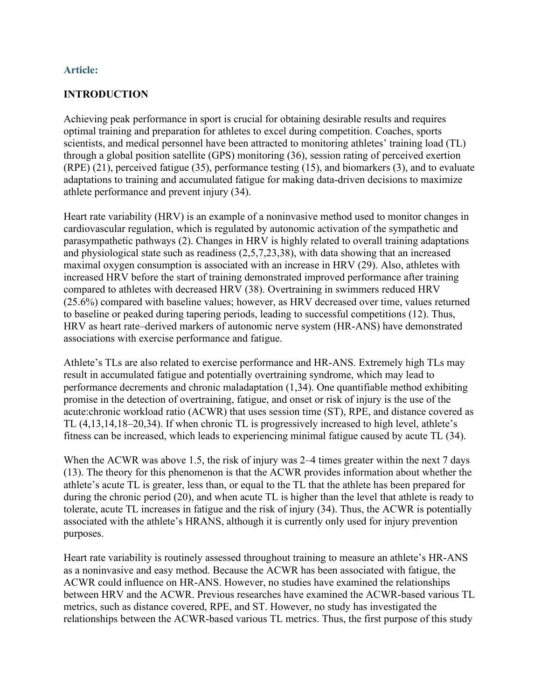## **Article:**

## **INTRODUCTION**

Achieving peak performance in sport is crucial for obtaining desirable results and requires optimal training and preparation for athletes to excel during competition. Coaches, sports scientists, and medical personnel have been attracted to monitoring athletes' training load (TL) through a global position satellite (GPS) monitoring (36), session rating of perceived exertion (RPE) (21), perceived fatigue (35), performance testing (15), and biomarkers (3), and to evaluate adaptations to training and accumulated fatigue for making data-driven decisions to maximize athlete performance and prevent injury (34).

Heart rate variability (HRV) is an example of a noninvasive method used to monitor changes in cardiovascular regulation, which is regulated by autonomic activation of the sympathetic and parasympathetic pathways (2). Changes in HRV is highly related to overall training adaptations and physiological state such as readiness (2,5,7,23,38), with data showing that an increased maximal oxygen consumption is associated with an increase in HRV (29). Also, athletes with increased HRV before the start of training demonstrated improved performance after training compared to athletes with decreased HRV (38). Overtraining in swimmers reduced HRV (25.6%) compared with baseline values; however, as HRV decreased over time, values returned to baseline or peaked during tapering periods, leading to successful competitions (12). Thus, HRV as heart rate–derived markers of autonomic nerve system (HR-ANS) have demonstrated associations with exercise performance and fatigue.

Athlete's TLs are also related to exercise performance and HR-ANS. Extremely high TLs may result in accumulated fatigue and potentially overtraining syndrome, which may lead to performance decrements and chronic maladaptation (1,34). One quantifiable method exhibiting promise in the detection of overtraining, fatigue, and onset or risk of injury is the use of the acute:chronic workload ratio (ACWR) that uses session time (ST), RPE, and distance covered as TL (4,13,14,18–20,34). If when chronic TL is progressively increased to high level, athlete's fitness can be increased, which leads to experiencing minimal fatigue caused by acute TL (34).

When the ACWR was above 1.5, the risk of injury was 2–4 times greater within the next 7 days (13). The theory for this phenomenon is that the ACWR provides information about whether the athlete's acute TL is greater, less than, or equal to the TL that the athlete has been prepared for during the chronic period (20), and when acute TL is higher than the level that athlete is ready to tolerate, acute TL increases in fatigue and the risk of injury (34). Thus, the ACWR is potentially associated with the athlete's HRANS, although it is currently only used for injury prevention purposes.

Heart rate variability is routinely assessed throughout training to measure an athlete's HR-ANS as a noninvasive and easy method. Because the ACWR has been associated with fatigue, the ACWR could influence on HR-ANS. However, no studies have examined the relationships between HRV and the ACWR. Previous researches have examined the ACWR-based various TL metrics, such as distance covered, RPE, and ST. However, no study has investigated the relationships between the ACWR-based various TL metrics. Thus, the first purpose of this study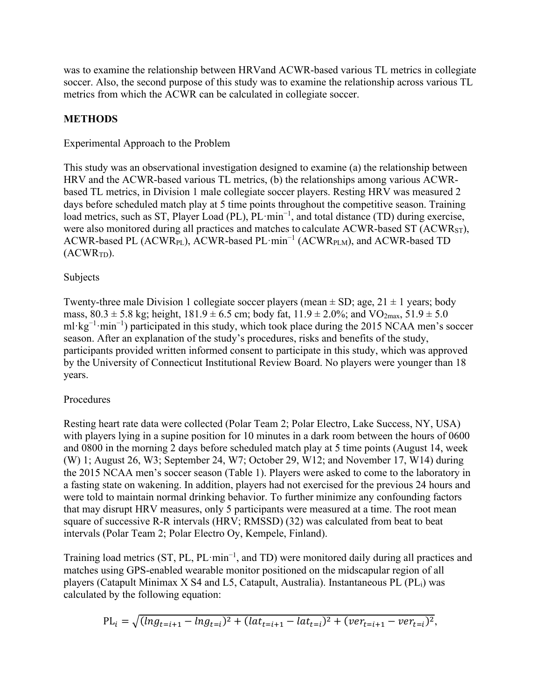was to examine the relationship between HRVand ACWR-based various TL metrics in collegiate soccer. Also, the second purpose of this study was to examine the relationship across various TL metrics from which the ACWR can be calculated in collegiate soccer.

# **METHODS**

## Experimental Approach to the Problem

This study was an observational investigation designed to examine (a) the relationship between HRV and the ACWR-based various TL metrics, (b) the relationships among various ACWRbased TL metrics, in Division 1 male collegiate soccer players. Resting HRV was measured 2 days before scheduled match play at 5 time points throughout the competitive season. Training load metrics, such as ST, Player Load (PL), PL·min<sup>-1</sup>, and total distance (TD) during exercise, were also monitored during all practices and matches to calculate ACWR-based ST  $(ACWR_{ST})$ , ACWR-based PL (ACWRPL), ACWR-based PL·min<sup>−</sup><sup>1</sup> (ACWRPLM), and ACWR-based TD  $(ACWR<sub>TD</sub>)$ .

## Subjects

Twenty-three male Division 1 collegiate soccer players (mean  $\pm$  SD; age, 21  $\pm$  1 years; body mass,  $80.3 \pm 5.8$  kg; height,  $181.9 \pm 6.5$  cm; body fat,  $11.9 \pm 2.0\%$ ; and  $\text{VO}_{2\text{max}}$ ,  $51.9 \pm 5.0$ ml·kg<sup>-1</sup>·min<sup>-1</sup>) participated in this study, which took place during the 2015 NCAA men's soccer season. After an explanation of the study's procedures, risks and benefits of the study, participants provided written informed consent to participate in this study, which was approved by the University of Connecticut Institutional Review Board. No players were younger than 18 years.

# Procedures

Resting heart rate data were collected (Polar Team 2; Polar Electro, Lake Success, NY, USA) with players lying in a supine position for 10 minutes in a dark room between the hours of 0600 and 0800 in the morning 2 days before scheduled match play at 5 time points (August 14, week (W) 1; August 26, W3; September 24, W7; October 29, W12; and November 17, W14) during the 2015 NCAA men's soccer season (Table 1). Players were asked to come to the laboratory in a fasting state on wakening. In addition, players had not exercised for the previous 24 hours and were told to maintain normal drinking behavior. To further minimize any confounding factors that may disrupt HRV measures, only 5 participants were measured at a time. The root mean square of successive R-R intervals (HRV; RMSSD) (32) was calculated from beat to beat intervals (Polar Team 2; Polar Electro Oy, Kempele, Finland).

Training load metrics (ST, PL, PL·min<sup>-1</sup>, and TD) were monitored daily during all practices and matches using GPS-enabled wearable monitor positioned on the midscapular region of all players (Catapult Minimax X S4 and L5, Catapult, Australia). Instantaneous PL (PL<sub>i</sub>) was calculated by the following equation:

$$
PL_i = \sqrt{(\ln g_{t=i+1} - \ln g_{t=i})^2 + (\ln t_{t=i+1} - \ln t_{t=i})^2 + (\nu e r_{t=i+1} - \nu e r_{t=i})^2},
$$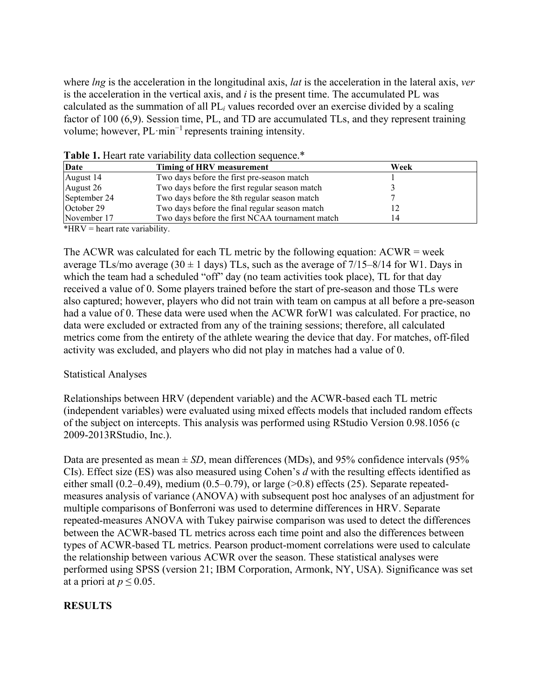where *lng* is the acceleration in the longitudinal axis, *lat* is the acceleration in the lateral axis, *ver* is the acceleration in the vertical axis, and *i* is the present time. The accumulated PL was calculated as the summation of all PL*<sup>i</sup>* values recorded over an exercise divided by a scaling factor of 100 (6,9). Session time, PL, and TD are accumulated TLs, and they represent training volume; however, PL·min<sup>−</sup><sup>1</sup> represents training intensity.

| Date<br>Timing of HRV measurement |                                                 | Week |  |
|-----------------------------------|-------------------------------------------------|------|--|
| August 14                         | Two days before the first pre-season match      |      |  |
| August 26                         | Two days before the first regular season match  |      |  |
| September 24                      | Two days before the 8th regular season match    |      |  |
| October 29                        | Two days before the final regular season match  |      |  |
| November 17                       | Two days before the first NCAA tournament match | 14   |  |

Table 1. Heart rate variability data collection sequence.\*

\*HRV = heart rate variability.

The ACWR was calculated for each TL metric by the following equation:  $ACWR = week$ average TLs/mo average (30  $\pm$  1 days) TLs, such as the average of 7/15–8/14 for W1. Days in which the team had a scheduled "off" day (no team activities took place), TL for that day received a value of 0. Some players trained before the start of pre-season and those TLs were also captured; however, players who did not train with team on campus at all before a pre-season had a value of 0. These data were used when the ACWR forW1 was calculated. For practice, no data were excluded or extracted from any of the training sessions; therefore, all calculated metrics come from the entirety of the athlete wearing the device that day. For matches, off-filed activity was excluded, and players who did not play in matches had a value of 0.

#### Statistical Analyses

Relationships between HRV (dependent variable) and the ACWR-based each TL metric (independent variables) were evaluated using mixed effects models that included random effects of the subject on intercepts. This analysis was performed using RStudio Version 0.98.1056 (c 2009-2013RStudio, Inc.).

Data are presented as mean  $\pm$  *SD*, mean differences (MDs), and 95% confidence intervals (95%) CIs). Effect size (ES) was also measured using Cohen's *d* with the resulting effects identified as either small (0.2–0.49), medium (0.5–0.79), or large  $(>0.8)$  effects (25). Separate repeatedmeasures analysis of variance (ANOVA) with subsequent post hoc analyses of an adjustment for multiple comparisons of Bonferroni was used to determine differences in HRV. Separate repeated-measures ANOVA with Tukey pairwise comparison was used to detect the differences between the ACWR-based TL metrics across each time point and also the differences between types of ACWR-based TL metrics. Pearson product-moment correlations were used to calculate the relationship between various ACWR over the season. These statistical analyses were performed using SPSS (version 21; IBM Corporation, Armonk, NY, USA). Significance was set at a priori at  $p \leq 0.05$ .

#### **RESULTS**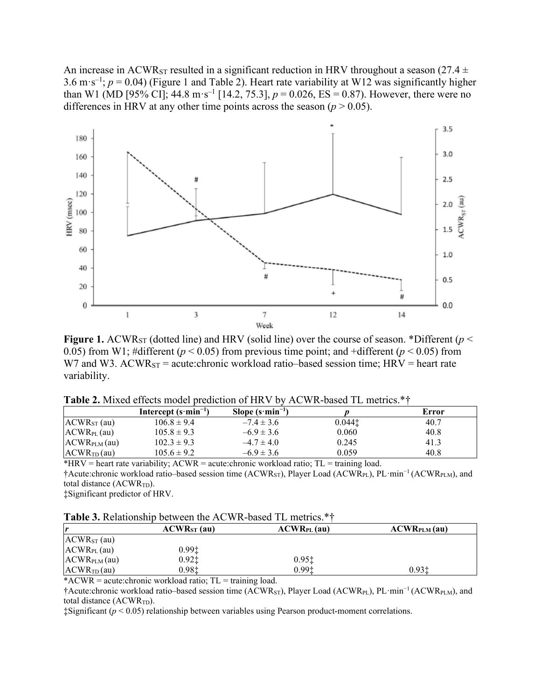An increase in ACWR<sub>ST</sub> resulted in a significant reduction in HRV throughout a season (27.4  $\pm$ 3.6 m·s<sup>-1</sup>;  $p = 0.04$ ) (Figure 1 and Table 2). Heart rate variability at W12 was significantly higher than W1 (MD [95% CI]; 44.8 m·s<sup>-1</sup> [14.2, 75.3],  $p = 0.026$ , ES = 0.87). However, there were no differences in HRV at any other time points across the season  $(p > 0.05)$ .



**Figure 1.** ACWR<sub>ST</sub> (dotted line) and HRV (solid line) over the course of season. \*Different ( $p$  < 0.05) from W1; #different  $(p < 0.05)$  from previous time point; and +different  $(p < 0.05)$  from W7 and W3.  $ACWR_{ST}$  = acute: chronic workload ratio–based session time; HRV = heart rate variability.

| <b>Table 2.</b> Mixed effects model prediction of HRV by ACWR-based TL metrics.*† |  |  |  |
|-----------------------------------------------------------------------------------|--|--|--|
|-----------------------------------------------------------------------------------|--|--|--|

|                          | Intercept $(s \cdot \text{min}^{-1})$ | Slope $(s \cdot \text{min}^{-1})$ |        | Error |
|--------------------------|---------------------------------------|-----------------------------------|--------|-------|
| $ACWRST$ (au)            | $106.8 \pm 9.4$                       | $-7.4 \pm 3.6$                    | 0.0441 | 40.7  |
| $ACWR_{PL}(au)$          | $105.8 \pm 9.3$                       | $-6.9 \pm 3.6$                    | 0.060  | 40.8  |
| ACWR <sub>PLM</sub> (au) | $102.3 \pm 9.3$                       | $-4.7 \pm 4.0$                    | 0.245  | 41.3  |
| ACWR <sub>TD</sub> (au)  | $105.6 \pm 9.2$                       | $-6.9 \pm 3.6$                    | 0.059  | 40.8  |

\*HRV = heart rate variability;  $ACWR$  = acute:chronic workload ratio;  $TL$  = training load. †Acute:chronic workload ratio–based session time (ACWRST), Player Load (ACWRPL), PL·min<sup>−</sup><sup>1</sup> (ACWRPLM), and total distance  $(ACWR<sub>TD</sub>)$ .

‡Significant predictor of HRV.

| <b>Table 3.</b> Relationship between the ACWR-based TL metrics.*† |  |  |
|-------------------------------------------------------------------|--|--|
|-------------------------------------------------------------------|--|--|

| r                        | $ACWRST$ (au) | $ACWR_{PL}(au)$                        | ACWR <sub>PLM</sub> (au) |
|--------------------------|---------------|----------------------------------------|--------------------------|
| $ACWRST$ (au)            |               |                                        |                          |
| $ACWR_{PL}(au)$          | 0.99‡         |                                        |                          |
| ACWR <sub>PLM</sub> (au) | $0.92$ ‡      | $0.95$ <sup><math>\dagger</math></sup> |                          |
| ACWR <sub>TD</sub> (au)  | 0.98‡         | 0.99 <sub>1</sub>                      | 0.931                    |

 $*ACWR = acute:chronic workload ratio; TL = training load.$ 

†Acute:chronic workload ratio–based session time (ACWRST), Player Load (ACWRPL), PL·min<sup>−</sup><sup>1</sup> (ACWRPLM), and total distance (ACWR<sub>TD</sub>).

‡Significant (*p* < 0.05) relationship between variables using Pearson product-moment correlations.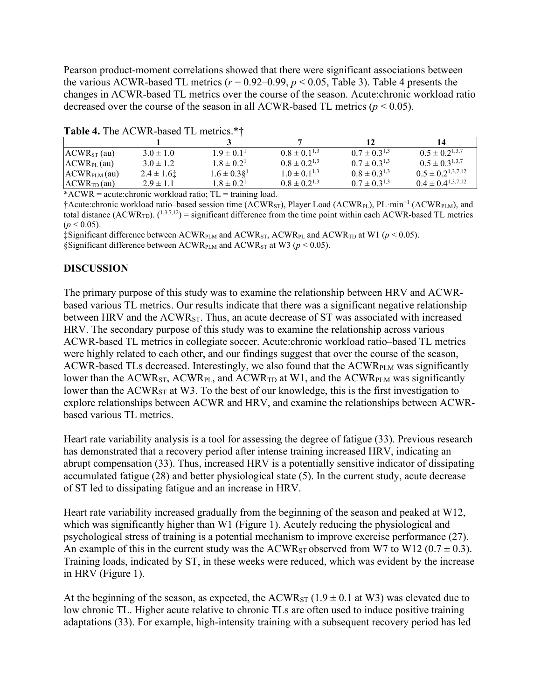Pearson product-moment correlations showed that there were significant associations between the various ACWR-based TL metrics  $(r = 0.92 - 0.99, p < 0.05,$  Table 3). Table 4 presents the changes in ACWR-based TL metrics over the course of the season. Acute:chronic workload ratio decreased over the course of the season in all ACWR-based TL metrics  $(p < 0.05)$ .

| <b>EAURE T.</b> THE AC WIN DASCE TE HIGH IG. |               |                   |                     |                     |                          |
|----------------------------------------------|---------------|-------------------|---------------------|---------------------|--------------------------|
|                                              |               |                   |                     | 12                  | 14                       |
| $ACWRST$ (au)                                | $3.0 \pm 1.0$ | $1.9 \pm 0.1^{1}$ | $0.8 \pm 0.1^{1,3}$ | $0.7 \pm 0.3^{1,3}$ | $0.5 \pm 0.2^{1,3,7}$    |
| $ACWR_{PL}(au)$                              | $3.0 \pm 1.2$ | $1.8 \pm 0.2^1$   | $0.8 \pm 0.2^{1,3}$ | $0.7 \pm 0.3^{1,3}$ | $0.5 \pm 0.3^{1,3,7}$    |
| $ACWRPLM$ (au)                               | $2.4 \pm 1.6$ | $1.6 \pm 0.3\S^1$ | $1.0 \pm 0.1^{1,3}$ | $0.8 \pm 0.3^{1,3}$ | $0.5 \pm 0.2^{1,3,7,12}$ |
| ACWR <sub>TD</sub> (au)                      | $2.9 \pm 1.1$ | $1.8 \pm 0.2^1$   | $0.8 \pm 0.2^{1,3}$ | $0.7 \pm 0.3^{1,3}$ | $0.4 \pm 0.4^{1,3,7,12}$ |

Table 4. The ACWR-based TL metrics.\*\*

 $*ACWR = acute:chronic workload ratio; TL = training load.$ 

†Acute:chronic workload ratio–based session time (ACWRST), Player Load (ACWRPL), PL·min<sup>−</sup><sup>1</sup> (ACWRPLM), and total distance  $(ACWR<sub>TD</sub>)$ .  $(1,3,7,12)$  = significant difference from the time point within each ACWR-based TL metrics  $(p < 0.05)$ .

 $\ddagger$ Significant difference between ACWR<sub>PLM</sub> and ACWR<sub>ST</sub>, ACWR<sub>PL</sub> and ACWR<sub>TD</sub> at W1 ( $p$  < 0.05).

§Significant difference between  $\text{ACWR}_{\text{PLM}}$  and  $\text{ACWR}_{\text{ST}}$  at W3 ( $p < 0.05$ ).

#### **DISCUSSION**

The primary purpose of this study was to examine the relationship between HRV and ACWRbased various TL metrics. Our results indicate that there was a significant negative relationship between HRV and the ACWR<sub>ST</sub>. Thus, an acute decrease of ST was associated with increased HRV. The secondary purpose of this study was to examine the relationship across various ACWR-based TL metrics in collegiate soccer. Acute:chronic workload ratio–based TL metrics were highly related to each other, and our findings suggest that over the course of the season, ACWR-based TLs decreased. Interestingly, we also found that the ACWRPLM was significantly lower than the  $ACWR_{ST}$ ,  $ACWR_{PL}$ , and  $ACWR_{TD}$  at W1, and the  $ACWR_{PLM}$  was significantly lower than the ACWR<sub>ST</sub> at W3. To the best of our knowledge, this is the first investigation to explore relationships between ACWR and HRV, and examine the relationships between ACWRbased various TL metrics.

Heart rate variability analysis is a tool for assessing the degree of fatigue (33). Previous research has demonstrated that a recovery period after intense training increased HRV, indicating an abrupt compensation (33). Thus, increased HRV is a potentially sensitive indicator of dissipating accumulated fatigue (28) and better physiological state (5). In the current study, acute decrease of ST led to dissipating fatigue and an increase in HRV.

Heart rate variability increased gradually from the beginning of the season and peaked at W12, which was significantly higher than W1 (Figure 1). Acutely reducing the physiological and psychological stress of training is a potential mechanism to improve exercise performance (27). An example of this in the current study was the ACWR<sub>ST</sub> observed from W7 to W12 ( $0.7 \pm 0.3$ ). Training loads, indicated by ST, in these weeks were reduced, which was evident by the increase in HRV (Figure 1).

At the beginning of the season, as expected, the  $ACWR_{ST}$  (1.9  $\pm$  0.1 at W3) was elevated due to low chronic TL. Higher acute relative to chronic TLs are often used to induce positive training adaptations (33). For example, high-intensity training with a subsequent recovery period has led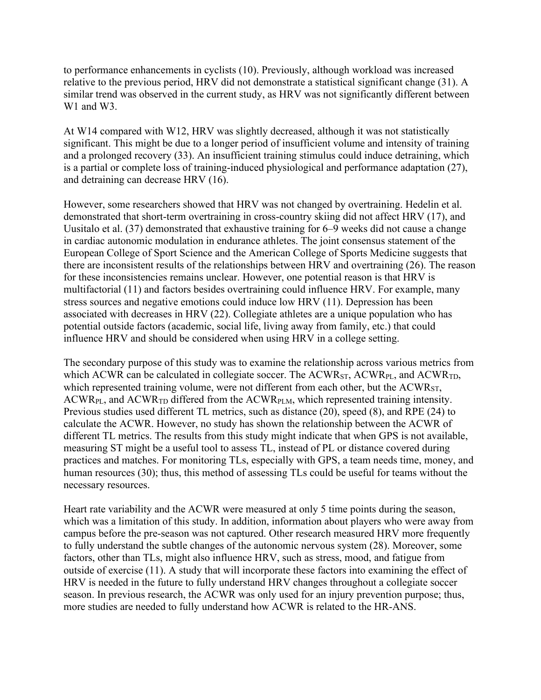to performance enhancements in cyclists (10). Previously, although workload was increased relative to the previous period, HRV did not demonstrate a statistical significant change (31). A similar trend was observed in the current study, as HRV was not significantly different between W<sub>1</sub> and W<sub>3</sub>.

At W14 compared with W12, HRV was slightly decreased, although it was not statistically significant. This might be due to a longer period of insufficient volume and intensity of training and a prolonged recovery (33). An insufficient training stimulus could induce detraining, which is a partial or complete loss of training-induced physiological and performance adaptation (27), and detraining can decrease HRV (16).

However, some researchers showed that HRV was not changed by overtraining. Hedelin et al. demonstrated that short-term overtraining in cross-country skiing did not affect HRV (17), and Uusitalo et al. (37) demonstrated that exhaustive training for 6–9 weeks did not cause a change in cardiac autonomic modulation in endurance athletes. The joint consensus statement of the European College of Sport Science and the American College of Sports Medicine suggests that there are inconsistent results of the relationships between HRV and overtraining (26). The reason for these inconsistencies remains unclear. However, one potential reason is that HRV is multifactorial (11) and factors besides overtraining could influence HRV. For example, many stress sources and negative emotions could induce low HRV (11). Depression has been associated with decreases in HRV (22). Collegiate athletes are a unique population who has potential outside factors (academic, social life, living away from family, etc.) that could influence HRV and should be considered when using HRV in a college setting.

The secondary purpose of this study was to examine the relationship across various metrics from which ACWR can be calculated in collegiate soccer. The  $ACWR_{ST}$ ,  $ACWR_{PL}$ , and  $ACWR_{TD}$ , which represented training volume, were not different from each other, but the ACWR<sub>ST</sub>,  $ACWR_{PL}$ , and  $ACWR_{TD}$  differed from the  $ACWR_{PLM}$ , which represented training intensity. Previous studies used different TL metrics, such as distance (20), speed (8), and RPE (24) to calculate the ACWR. However, no study has shown the relationship between the ACWR of different TL metrics. The results from this study might indicate that when GPS is not available, measuring ST might be a useful tool to assess TL, instead of PL or distance covered during practices and matches. For monitoring TLs, especially with GPS, a team needs time, money, and human resources (30); thus, this method of assessing TLs could be useful for teams without the necessary resources.

Heart rate variability and the ACWR were measured at only 5 time points during the season, which was a limitation of this study. In addition, information about players who were away from campus before the pre-season was not captured. Other research measured HRV more frequently to fully understand the subtle changes of the autonomic nervous system (28). Moreover, some factors, other than TLs, might also influence HRV, such as stress, mood, and fatigue from outside of exercise (11). A study that will incorporate these factors into examining the effect of HRV is needed in the future to fully understand HRV changes throughout a collegiate soccer season. In previous research, the ACWR was only used for an injury prevention purpose; thus, more studies are needed to fully understand how ACWR is related to the HR-ANS.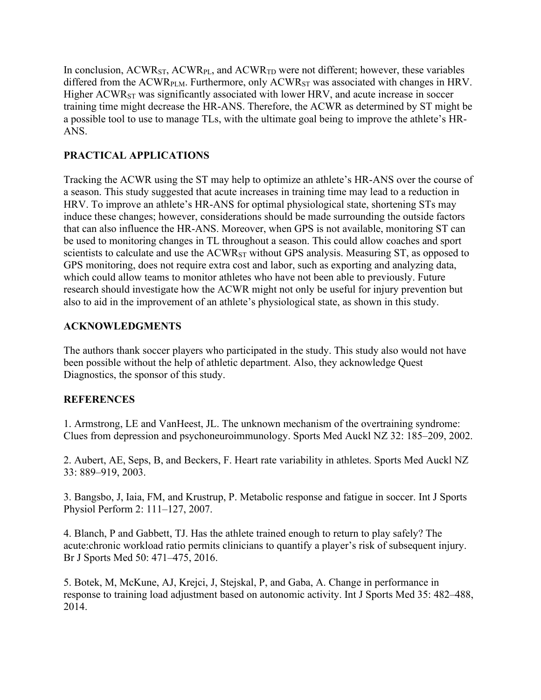In conclusion, ACWR<sub>ST</sub>, ACWR<sub>PL</sub>, and ACWR<sub>TD</sub> were not different; however, these variables differed from the ACWR<sub>PLM</sub>. Furthermore, only ACWR<sub>ST</sub> was associated with changes in HRV. Higher  $ACWR_{ST}$  was significantly associated with lower HRV, and acute increase in soccer training time might decrease the HR-ANS. Therefore, the ACWR as determined by ST might be a possible tool to use to manage TLs, with the ultimate goal being to improve the athlete's HR-ANS.

# **PRACTICAL APPLICATIONS**

Tracking the ACWR using the ST may help to optimize an athlete's HR-ANS over the course of a season. This study suggested that acute increases in training time may lead to a reduction in HRV. To improve an athlete's HR-ANS for optimal physiological state, shortening STs may induce these changes; however, considerations should be made surrounding the outside factors that can also influence the HR-ANS. Moreover, when GPS is not available, monitoring ST can be used to monitoring changes in TL throughout a season. This could allow coaches and sport scientists to calculate and use the ACWR<sub>ST</sub> without GPS analysis. Measuring ST, as opposed to GPS monitoring, does not require extra cost and labor, such as exporting and analyzing data, which could allow teams to monitor athletes who have not been able to previously. Future research should investigate how the ACWR might not only be useful for injury prevention but also to aid in the improvement of an athlete's physiological state, as shown in this study.

# **ACKNOWLEDGMENTS**

The authors thank soccer players who participated in the study. This study also would not have been possible without the help of athletic department. Also, they acknowledge Quest Diagnostics, the sponsor of this study.

# **REFERENCES**

1. Armstrong, LE and VanHeest, JL. The unknown mechanism of the overtraining syndrome: Clues from depression and psychoneuroimmunology. Sports Med Auckl NZ 32: 185–209, 2002.

2. Aubert, AE, Seps, B, and Beckers, F. Heart rate variability in athletes. Sports Med Auckl NZ 33: 889–919, 2003.

3. Bangsbo, J, Iaia, FM, and Krustrup, P. Metabolic response and fatigue in soccer. Int J Sports Physiol Perform 2: 111–127, 2007.

4. Blanch, P and Gabbett, TJ. Has the athlete trained enough to return to play safely? The acute:chronic workload ratio permits clinicians to quantify a player's risk of subsequent injury. Br J Sports Med 50: 471–475, 2016.

5. Botek, M, McKune, AJ, Krejci, J, Stejskal, P, and Gaba, A. Change in performance in response to training load adjustment based on autonomic activity. Int J Sports Med 35: 482–488, 2014.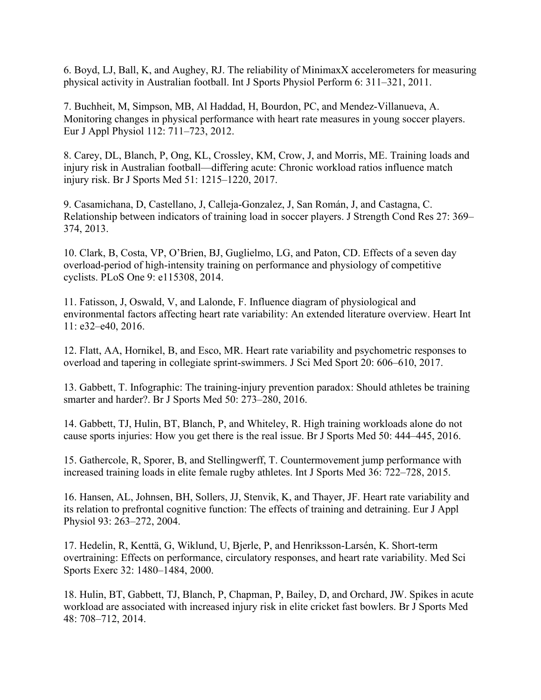6. Boyd, LJ, Ball, K, and Aughey, RJ. The reliability of MinimaxX accelerometers for measuring physical activity in Australian football. Int J Sports Physiol Perform 6: 311–321, 2011.

7. Buchheit, M, Simpson, MB, Al Haddad, H, Bourdon, PC, and Mendez-Villanueva, A. Monitoring changes in physical performance with heart rate measures in young soccer players. Eur J Appl Physiol 112: 711–723, 2012.

8. Carey, DL, Blanch, P, Ong, KL, Crossley, KM, Crow, J, and Morris, ME. Training loads and injury risk in Australian football—differing acute: Chronic workload ratios influence match injury risk. Br J Sports Med 51: 1215–1220, 2017.

9. Casamichana, D, Castellano, J, Calleja-Gonzalez, J, San Román, J, and Castagna, C. Relationship between indicators of training load in soccer players. J Strength Cond Res 27: 369– 374, 2013.

10. Clark, B, Costa, VP, O'Brien, BJ, Guglielmo, LG, and Paton, CD. Effects of a seven day overload-period of high-intensity training on performance and physiology of competitive cyclists. PLoS One 9: e115308, 2014.

11. Fatisson, J, Oswald, V, and Lalonde, F. Influence diagram of physiological and environmental factors affecting heart rate variability: An extended literature overview. Heart Int 11: e32–e40, 2016.

12. Flatt, AA, Hornikel, B, and Esco, MR. Heart rate variability and psychometric responses to overload and tapering in collegiate sprint-swimmers. J Sci Med Sport 20: 606–610, 2017.

13. Gabbett, T. Infographic: The training-injury prevention paradox: Should athletes be training smarter and harder?. Br J Sports Med 50: 273–280, 2016.

14. Gabbett, TJ, Hulin, BT, Blanch, P, and Whiteley, R. High training workloads alone do not cause sports injuries: How you get there is the real issue. Br J Sports Med 50: 444–445, 2016.

15. Gathercole, R, Sporer, B, and Stellingwerff, T. Countermovement jump performance with increased training loads in elite female rugby athletes. Int J Sports Med 36: 722–728, 2015.

16. Hansen, AL, Johnsen, BH, Sollers, JJ, Stenvik, K, and Thayer, JF. Heart rate variability and its relation to prefrontal cognitive function: The effects of training and detraining. Eur J Appl Physiol 93: 263–272, 2004.

17. Hedelin, R, Kenttä, G, Wiklund, U, Bjerle, P, and Henriksson-Larsén, K. Short-term overtraining: Effects on performance, circulatory responses, and heart rate variability. Med Sci Sports Exerc 32: 1480–1484, 2000.

18. Hulin, BT, Gabbett, TJ, Blanch, P, Chapman, P, Bailey, D, and Orchard, JW. Spikes in acute workload are associated with increased injury risk in elite cricket fast bowlers. Br J Sports Med 48: 708–712, 2014.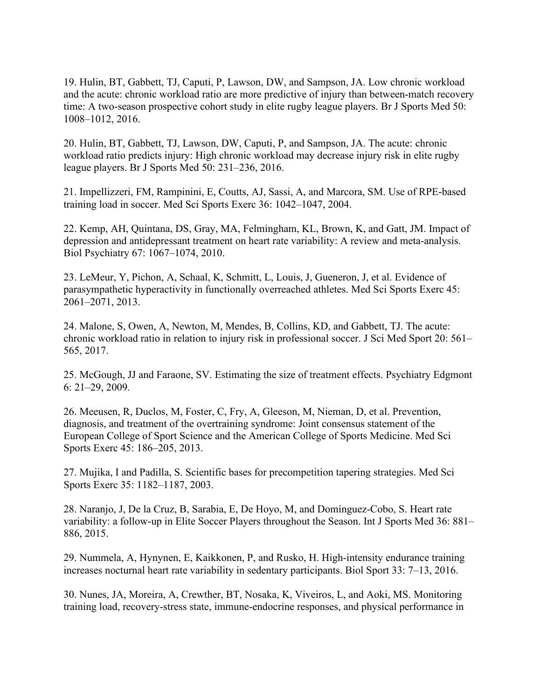19. Hulin, BT, Gabbett, TJ, Caputi, P, Lawson, DW, and Sampson, JA. Low chronic workload and the acute: chronic workload ratio are more predictive of injury than between-match recovery time: A two-season prospective cohort study in elite rugby league players. Br J Sports Med 50: 1008–1012, 2016.

20. Hulin, BT, Gabbett, TJ, Lawson, DW, Caputi, P, and Sampson, JA. The acute: chronic workload ratio predicts injury: High chronic workload may decrease injury risk in elite rugby league players. Br J Sports Med 50: 231–236, 2016.

21. Impellizzeri, FM, Rampinini, E, Coutts, AJ, Sassi, A, and Marcora, SM. Use of RPE-based training load in soccer. Med Sci Sports Exerc 36: 1042–1047, 2004.

22. Kemp, AH, Quintana, DS, Gray, MA, Felmingham, KL, Brown, K, and Gatt, JM. Impact of depression and antidepressant treatment on heart rate variability: A review and meta-analysis. Biol Psychiatry 67: 1067–1074, 2010.

23. LeMeur, Y, Pichon, A, Schaal, K, Schmitt, L, Louis, J, Gueneron, J, et al. Evidence of parasympathetic hyperactivity in functionally overreached athletes. Med Sci Sports Exerc 45: 2061–2071, 2013.

24. Malone, S, Owen, A, Newton, M, Mendes, B, Collins, KD, and Gabbett, TJ. The acute: chronic workload ratio in relation to injury risk in professional soccer. J Sci Med Sport 20: 561– 565, 2017.

25. McGough, JJ and Faraone, SV. Estimating the size of treatment effects. Psychiatry Edgmont 6: 21–29, 2009.

26. Meeusen, R, Duclos, M, Foster, C, Fry, A, Gleeson, M, Nieman, D, et al. Prevention, diagnosis, and treatment of the overtraining syndrome: Joint consensus statement of the European College of Sport Science and the American College of Sports Medicine. Med Sci Sports Exerc 45: 186–205, 2013.

27. Mujika, I and Padilla, S. Scientific bases for precompetition tapering strategies. Med Sci Sports Exerc 35: 1182–1187, 2003.

28. Naranjo, J, De la Cruz, B, Sarabia, E, De Hoyo, M, and Domínguez-Cobo, S. Heart rate variability: a follow-up in Elite Soccer Players throughout the Season. Int J Sports Med 36: 881– 886, 2015.

29. Nummela, A, Hynynen, E, Kaikkonen, P, and Rusko, H. High-intensity endurance training increases nocturnal heart rate variability in sedentary participants. Biol Sport 33: 7–13, 2016.

30. Nunes, JA, Moreira, A, Crewther, BT, Nosaka, K, Viveiros, L, and Aoki, MS. Monitoring training load, recovery-stress state, immune-endocrine responses, and physical performance in